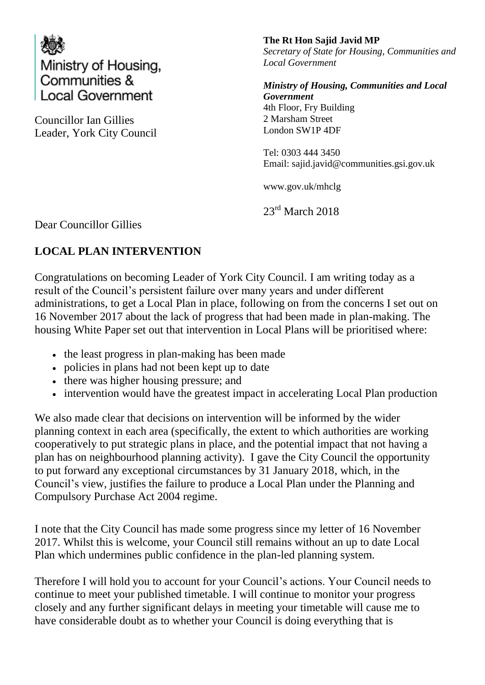

Councillor Ian Gillies Leader, York City Council **The Rt Hon Sajid Javid MP** *Secretary of State for Housing, Communities and Local Government*

*Ministry of Housing, Communities and Local Government*  4th Floor, Fry Building 2 Marsham Street London SW1P 4DF

Tel: 0303 444 3450 Email: sajid.javid@communities.gsi.gov.uk

www.gov.uk/mhclg

23<sup>rd</sup> March 2018

Dear Councillor Gillies

## **LOCAL PLAN INTERVENTION**

Congratulations on becoming Leader of York City Council. I am writing today as a result of the Council's persistent failure over many years and under different administrations, to get a Local Plan in place, following on from the concerns I set out on 16 November 2017 about the lack of progress that had been made in plan-making. The housing White Paper set out that intervention in Local Plans will be prioritised where:

- the least progress in plan-making has been made
- policies in plans had not been kept up to date
- there was higher housing pressure; and
- intervention would have the greatest impact in accelerating Local Plan production

We also made clear that decisions on intervention will be informed by the wider planning context in each area (specifically, the extent to which authorities are working cooperatively to put strategic plans in place, and the potential impact that not having a plan has on neighbourhood planning activity). I gave the City Council the opportunity to put forward any exceptional circumstances by 31 January 2018, which, in the Council's view, justifies the failure to produce a Local Plan under the Planning and Compulsory Purchase Act 2004 regime.

I note that the City Council has made some progress since my letter of 16 November 2017. Whilst this is welcome, your Council still remains without an up to date Local Plan which undermines public confidence in the plan-led planning system.

Therefore I will hold you to account for your Council's actions. Your Council needs to continue to meet your published timetable. I will continue to monitor your progress closely and any further significant delays in meeting your timetable will cause me to have considerable doubt as to whether your Council is doing everything that is